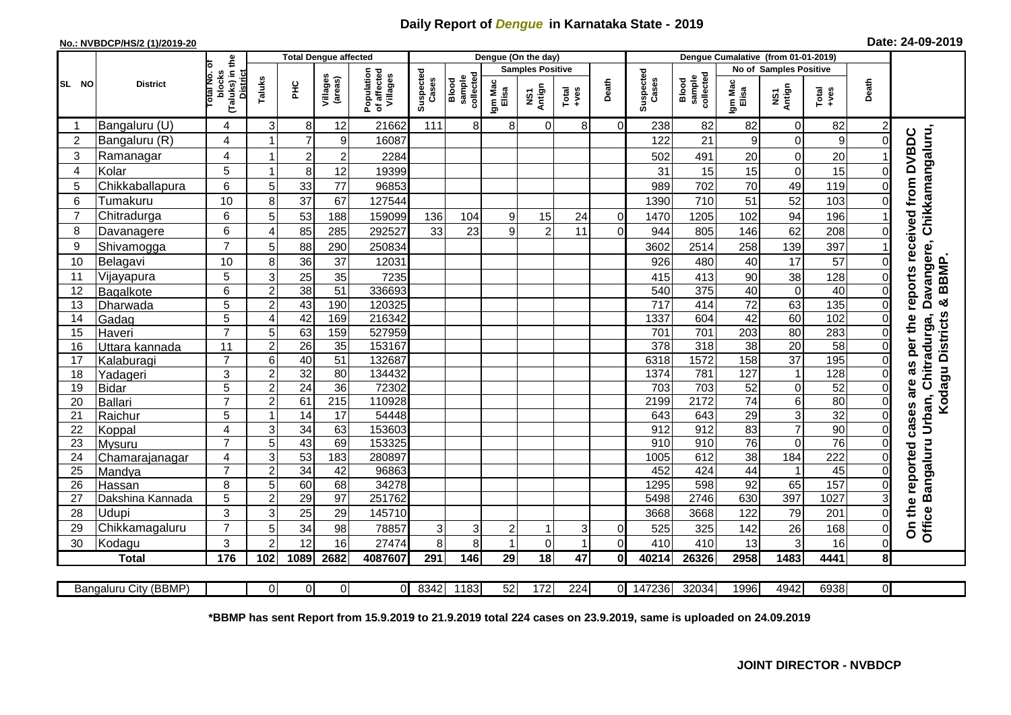## **Daily Report of** *Dengue* **in Karnataka State - 2019**

## **No.: NVBDCP/HS/2 (1)/2019-20 Date: 24-09-2019**

|                | <b>District</b>       |                                                   | <b>Total Dengue affected</b> |                 |                         |                                       |                    |                              |                  | Dengue (On the day)     |                  |                |                    |                              |                        |                 |                  |                |                                                                 |
|----------------|-----------------------|---------------------------------------------------|------------------------------|-----------------|-------------------------|---------------------------------------|--------------------|------------------------------|------------------|-------------------------|------------------|----------------|--------------------|------------------------------|------------------------|-----------------|------------------|----------------|-----------------------------------------------------------------|
|                |                       | ō                                                 |                              |                 |                         |                                       |                    |                              |                  | <b>Samples Positive</b> |                  |                |                    |                              | No of Samples Positive |                 |                  |                |                                                                 |
| SL NO          |                       | (Taluks) in the<br>District<br>blocks<br>otal No. | Taluks                       | PHC             | Villages<br>(areas)     | Population<br>of affected<br>Villages | Suspected<br>Cases | sample<br>collected<br>Blood | Igm Mac<br>Elisa | Antign<br>ŠΣ            | $Tota$<br>$+ves$ | Death          | Suspected<br>Cases | sample<br>collected<br>Blood | Igm Mac<br>Elisa       | NS1<br>Antign   | Total<br>$-ves$  | Death          |                                                                 |
|                | Bangaluru (U)         | 4                                                 | 3                            | 8               | 12                      | 21662                                 | 111                | 8                            | 8                | 0                       | 8                | $\overline{0}$ | 238                | 82                           | 82                     | $\Omega$        | 82               | 2              |                                                                 |
| $\overline{2}$ | Bangaluru (R)         | 4                                                 |                              | $\overline{7}$  | $\boldsymbol{9}$        | 16087                                 |                    |                              |                  |                         |                  |                | 122                | 21                           | 9                      | $\mathbf 0$     | $\boldsymbol{9}$ | 0              |                                                                 |
| 3              | Ramanagar             | 4                                                 |                              | $\overline{2}$  | $\overline{\mathbf{c}}$ | 2284                                  |                    |                              |                  |                         |                  |                | 502                | 491                          | 20                     | Οl              | 20               |                | Davangere, Chikkamangaluru,<br>reports received from DVBDC      |
| 4              | Kolar                 | 5                                                 |                              | 8               | 12                      | 19399                                 |                    |                              |                  |                         |                  |                | 31                 | 15                           | 15                     | $\Omega$        | 15               | 0              |                                                                 |
| 5              | Chikkaballapura       | 6                                                 | 5                            | 33              | 77                      | 96853                                 |                    |                              |                  |                         |                  |                | 989                | 702                          | 70                     | 49              | 119              |                |                                                                 |
| 6              | Tumakuru              | 10                                                | 8                            | 37              | 67                      | 127544                                |                    |                              |                  |                         |                  |                | 1390               | 710                          | 51                     | 52              | 103              |                |                                                                 |
| $\overline{7}$ | Chitradurga           | 6                                                 | 5                            | 53              | 188                     | 159099                                | 136                | 104                          | 9                | 15                      | 24               | $\overline{0}$ | 1470               | 1205                         | 102                    | 94              | 196              |                |                                                                 |
| 8              | Davanagere            | 6                                                 | 4                            | 85              | 285                     | 292527                                | 33                 | 23                           | 9                | $\overline{2}$          | 11               | $\overline{0}$ | 944                | 805                          | 146                    | 62              | 208              | 0              |                                                                 |
| 9              | Shivamogga            | $\overline{7}$                                    | 5                            | 88              | 290                     | 250834                                |                    |                              |                  |                         |                  |                | 3602               | 2514                         | 258                    | 139             | 397              |                |                                                                 |
| 10             | Belagavi              | 10                                                | 8                            | 36              | 37                      | 12031                                 |                    |                              |                  |                         |                  |                | 926                | 480                          | 40                     | 17              | 57               | 0              |                                                                 |
| 11             | Vijayapura            | 5                                                 | 3                            | 25              | 35                      | 7235                                  |                    |                              |                  |                         |                  |                | 415                | 413                          | 90                     | 38              | 128              | 0              | BBMP                                                            |
| 12             | Bagalkote             | 6                                                 | $\overline{c}$               | 38              | $\overline{51}$         | 336693                                |                    |                              |                  |                         |                  |                | 540                | 375                          | 40                     | $\Omega$        | 40               | 0              |                                                                 |
| 13             | Dharwada              | $\overline{5}$                                    | $\overline{2}$               | 43              | 190                     | 120325                                |                    |                              |                  |                         |                  |                | 717                | 414                          | 72                     | 63              | 135              | $\overline{0}$ | ×                                                               |
| 14             | Gadag                 | 5                                                 | 4                            | 42              | 169                     | 216342                                |                    |                              |                  |                         |                  |                | 1337               | 604                          | 42                     | 60              | 102              | 0              |                                                                 |
| 15             | Haveri                | $\overline{7}$                                    | 5                            | 63              | 159                     | 527959                                |                    |                              |                  |                         |                  |                | 701                | 701                          | 203                    | 80              | 283              | 0              | Kodagu Districts<br>Urban, Chitradurga,<br>cases are as per the |
| 16             | Uttara kannada        | 11                                                | $\overline{2}$               | $\overline{26}$ | $\overline{35}$         | 153167                                |                    |                              |                  |                         |                  |                | 378                | 318                          | 38                     | 20              | 58               | 0              |                                                                 |
| 17             | Kalaburagi            | $\overline{7}$                                    | $\overline{6}$               | 40              | 51                      | 132687                                |                    |                              |                  |                         |                  |                | 6318               | 1572                         | 158                    | $\overline{37}$ | 195              | 0              |                                                                 |
| 18             | Yadageri              | 3                                                 | $\mathbf 2$                  | 32              | 80                      | 134432                                |                    |                              |                  |                         |                  |                | 1374               | 781                          | 127                    | $\overline{1}$  | 128              | 0              |                                                                 |
| 19             | <b>Bidar</b>          | $\overline{5}$                                    | $\overline{2}$               | $\overline{24}$ | 36                      | 72302                                 |                    |                              |                  |                         |                  |                | 703                | 703                          | 52                     | $\Omega$        | 52               | 0              |                                                                 |
| 20             | Ballari               | $\overline{7}$                                    | $\overline{c}$               | 61              | $\overline{215}$        | 110928                                |                    |                              |                  |                         |                  |                | 2199               | 2172                         | 74                     | 61              | $\overline{80}$  | 0              |                                                                 |
| 21             | Raichur               | 5                                                 | 1                            | $\overline{14}$ | $\overline{17}$         | 54448                                 |                    |                              |                  |                         |                  |                | 643                | 643                          | 29                     | 3 <sup>1</sup>  | 32               | 0              |                                                                 |
| 22             | Koppal                | 4                                                 | 3                            | 34              | 63                      | 153603                                |                    |                              |                  |                         |                  |                | 912                | 912                          | 83                     | $\overline{7}$  | 90               | 0              |                                                                 |
| 23             | Mysuru                | $\overline{7}$                                    | 5                            | 43              | 69                      | 153325                                |                    |                              |                  |                         |                  |                | $\overline{910}$   | 910                          | $\overline{76}$        | $\Omega$        | 76               |                |                                                                 |
| 24             | Chamarajanagar        | 4                                                 | 3                            | 53              | 183                     | 280897                                |                    |                              |                  |                         |                  |                | 1005               | 612                          | 38                     | 184             | 222              | 0              |                                                                 |
| 25             | Mandya                | $\overline{7}$                                    | $\overline{c}$               | 34              | 42                      | 96863                                 |                    |                              |                  |                         |                  |                | 452                | 424                          | 44                     | $\overline{1}$  | 45               | 0              | Bangaluru<br>reported                                           |
| 26             | Hassan                | 8                                                 | 5                            | 60<br>29        | 68<br>$\overline{97}$   | 34278<br>251762                       |                    |                              |                  |                         |                  |                | 1295               | 598<br>2746                  | 92<br>630              | 65<br>397       | 157<br>1027      | 0              |                                                                 |
| 27             | Dakshina Kannada      | 5                                                 | $\boldsymbol{2}$             |                 |                         |                                       |                    |                              |                  |                         |                  |                | 5498               |                              |                        |                 |                  | 3              |                                                                 |
| 28             | Udupi                 | 3                                                 | 3                            | 25              | 29                      | 145710                                |                    |                              |                  |                         |                  |                | 3668               | 3668                         | 122                    | 79              | 201              | 0              | On the                                                          |
| 29             | Chikkamagaluru        | $\overline{7}$                                    | 5                            | 34              | 98                      | 78857                                 | $\overline{3}$     | 3                            | 2                | 1                       | 3                | $\mathbf 0$    | 525                | 325                          | 142                    | 26              | 168              | 0              | Office                                                          |
| 30             | Kodagu                | 3                                                 | $\overline{2}$               | 12              | 16                      | 27474                                 | 8                  | 8                            |                  | 0                       | $\overline{1}$   | $\Omega$       | 410                | 410                          | 13                     | 3               | 16               | $\Omega$       |                                                                 |
|                | <b>Total</b>          | 176                                               | 102                          | 1089            | 2682                    | 4087607                               | 291                | 146                          | 29               | 18                      | 47               | 0              | 40214              | 26326                        | 2958                   | 1483            | 4441             | 8 <sup>1</sup> |                                                                 |
|                | Bangaluru City (BBMP) |                                                   | $\Omega$                     | $\Omega$        | Οl                      | $\overline{0}$                        | 8342               | 1183                         | 52               | 172                     | $\overline{224}$ | $\overline{0}$ | 147236             | 32034                        | 1996                   | 4942            | 6938             | $\overline{0}$ |                                                                 |

**\*BBMP has sent Report from 15.9.2019 to 21.9.2019 total 224 cases on 23.9.2019, same is uploaded on 24.09.2019**